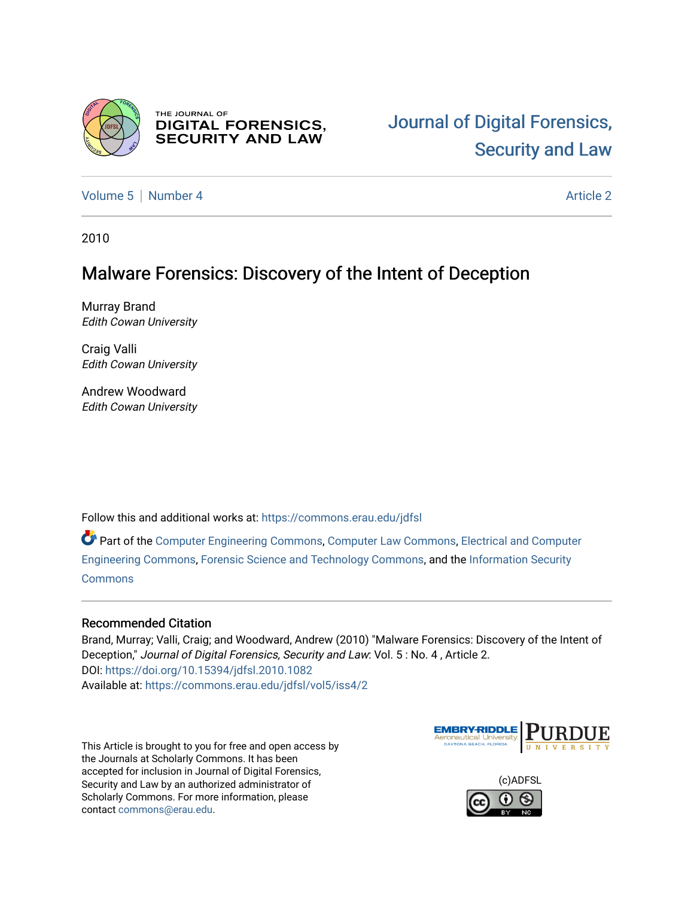

THE JOURNAL OF **DIGITAL FORENSICS, SECURITY AND LAW** 

[Volume 5](https://commons.erau.edu/jdfsl/vol5) [Number 4](https://commons.erau.edu/jdfsl/vol5/iss4) Article 2

2010

# Malware Forensics: Discovery of the Intent of Deception

Murray Brand Edith Cowan University

Craig Valli Edith Cowan University

Andrew Woodward Edith Cowan University

Follow this and additional works at: [https://commons.erau.edu/jdfsl](https://commons.erau.edu/jdfsl?utm_source=commons.erau.edu%2Fjdfsl%2Fvol5%2Fiss4%2F2&utm_medium=PDF&utm_campaign=PDFCoverPages)

Part of the [Computer Engineering Commons,](http://network.bepress.com/hgg/discipline/258?utm_source=commons.erau.edu%2Fjdfsl%2Fvol5%2Fiss4%2F2&utm_medium=PDF&utm_campaign=PDFCoverPages) [Computer Law Commons,](http://network.bepress.com/hgg/discipline/837?utm_source=commons.erau.edu%2Fjdfsl%2Fvol5%2Fiss4%2F2&utm_medium=PDF&utm_campaign=PDFCoverPages) [Electrical and Computer](http://network.bepress.com/hgg/discipline/266?utm_source=commons.erau.edu%2Fjdfsl%2Fvol5%2Fiss4%2F2&utm_medium=PDF&utm_campaign=PDFCoverPages) [Engineering Commons,](http://network.bepress.com/hgg/discipline/266?utm_source=commons.erau.edu%2Fjdfsl%2Fvol5%2Fiss4%2F2&utm_medium=PDF&utm_campaign=PDFCoverPages) [Forensic Science and Technology Commons](http://network.bepress.com/hgg/discipline/1277?utm_source=commons.erau.edu%2Fjdfsl%2Fvol5%2Fiss4%2F2&utm_medium=PDF&utm_campaign=PDFCoverPages), and the [Information Security](http://network.bepress.com/hgg/discipline/1247?utm_source=commons.erau.edu%2Fjdfsl%2Fvol5%2Fiss4%2F2&utm_medium=PDF&utm_campaign=PDFCoverPages) **[Commons](http://network.bepress.com/hgg/discipline/1247?utm_source=commons.erau.edu%2Fjdfsl%2Fvol5%2Fiss4%2F2&utm_medium=PDF&utm_campaign=PDFCoverPages)** 

# Recommended Citation

Brand, Murray; Valli, Craig; and Woodward, Andrew (2010) "Malware Forensics: Discovery of the Intent of Deception," Journal of Digital Forensics, Security and Law: Vol. 5 : No. 4 , Article 2. DOI:<https://doi.org/10.15394/jdfsl.2010.1082> Available at: [https://commons.erau.edu/jdfsl/vol5/iss4/2](https://commons.erau.edu/jdfsl/vol5/iss4/2?utm_source=commons.erau.edu%2Fjdfsl%2Fvol5%2Fiss4%2F2&utm_medium=PDF&utm_campaign=PDFCoverPages) 

This Article is brought to you for free and open access by the Journals at Scholarly Commons. It has been accepted for inclusion in Journal of Digital Forensics, Security and Law by an authorized administrator of Scholarly Commons. For more information, please contact [commons@erau.edu.](mailto:commons@erau.edu)



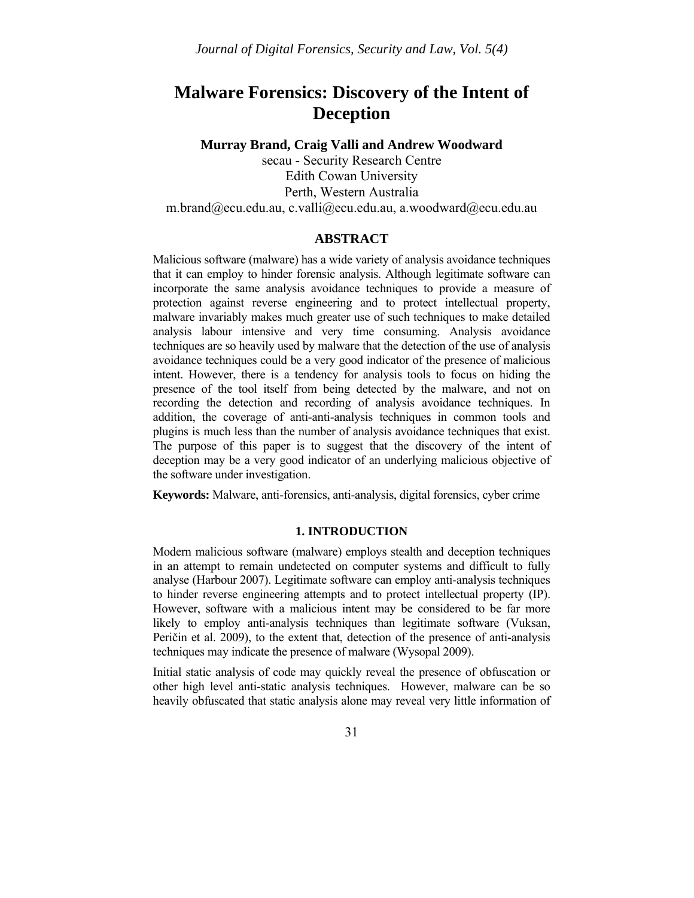# **Malware Forensics: Discovery of the Intent of Deception**

**Murray Brand, Craig Valli and Andrew Woodward** 

secau - Security Research Centre Edith Cowan University Perth, Western Australia m.brand@ecu.edu.au, c.valli@ecu.edu.au, a.woodward@ecu.edu.au

# **ABSTRACT**

Malicious software (malware) has a wide variety of analysis avoidance techniques that it can employ to hinder forensic analysis. Although legitimate software can incorporate the same analysis avoidance techniques to provide a measure of protection against reverse engineering and to protect intellectual property, malware invariably makes much greater use of such techniques to make detailed analysis labour intensive and very time consuming. Analysis avoidance techniques are so heavily used by malware that the detection of the use of analysis avoidance techniques could be a very good indicator of the presence of malicious intent. However, there is a tendency for analysis tools to focus on hiding the presence of the tool itself from being detected by the malware, and not on recording the detection and recording of analysis avoidance techniques. In addition, the coverage of anti-anti-analysis techniques in common tools and plugins is much less than the number of analysis avoidance techniques that exist. The purpose of this paper is to suggest that the discovery of the intent of deception may be a very good indicator of an underlying malicious objective of the software under investigation.

**Keywords:** Malware, anti-forensics, anti-analysis, digital forensics, cyber crime

## **1. INTRODUCTION**

Modern malicious software (malware) employs stealth and deception techniques in an attempt to remain undetected on computer systems and difficult to fully analyse (Harbour 2007). Legitimate software can employ anti-analysis techniques to hinder reverse engineering attempts and to protect intellectual property (IP). However, software with a malicious intent may be considered to be far more likely to employ anti-analysis techniques than legitimate software (Vuksan, Peričin et al. 2009), to the extent that, detection of the presence of anti-analysis techniques may indicate the presence of malware (Wysopal 2009).

Initial static analysis of code may quickly reveal the presence of obfuscation or other high level anti-static analysis techniques. However, malware can be so heavily obfuscated that static analysis alone may reveal very little information of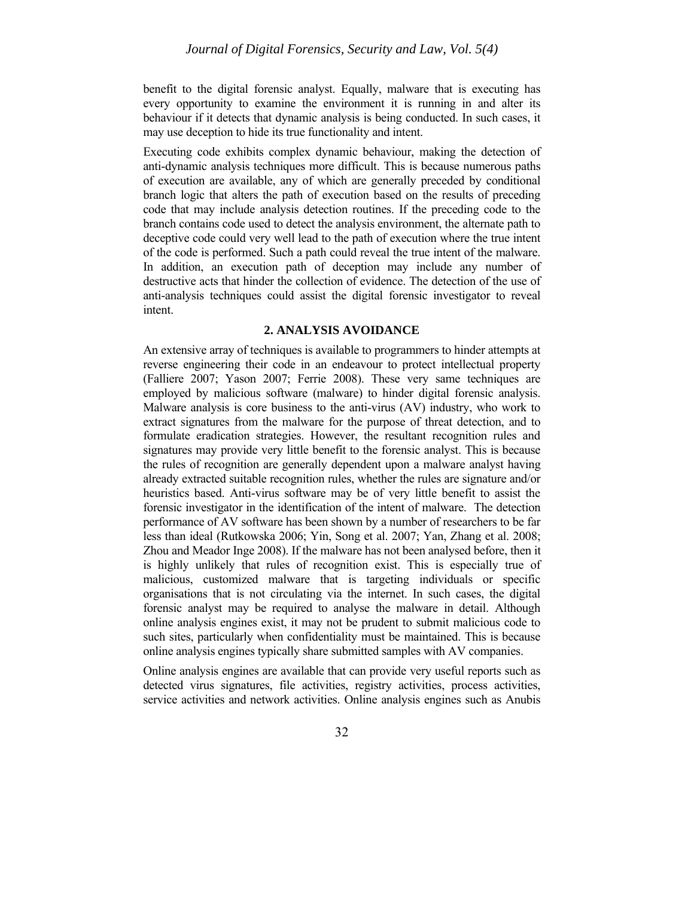benefit to the digital forensic analyst. Equally, malware that is executing has every opportunity to examine the environment it is running in and alter its behaviour if it detects that dynamic analysis is being conducted. In such cases, it may use deception to hide its true functionality and intent.

Executing code exhibits complex dynamic behaviour, making the detection of anti-dynamic analysis techniques more difficult. This is because numerous paths of execution are available, any of which are generally preceded by conditional branch logic that alters the path of execution based on the results of preceding code that may include analysis detection routines. If the preceding code to the branch contains code used to detect the analysis environment, the alternate path to deceptive code could very well lead to the path of execution where the true intent of the code is performed. Such a path could reveal the true intent of the malware. In addition, an execution path of deception may include any number of destructive acts that hinder the collection of evidence. The detection of the use of anti-analysis techniques could assist the digital forensic investigator to reveal intent.

## **2. ANALYSIS AVOIDANCE**

An extensive array of techniques is available to programmers to hinder attempts at reverse engineering their code in an endeavour to protect intellectual property (Falliere 2007; Yason 2007; Ferrie 2008). These very same techniques are employed by malicious software (malware) to hinder digital forensic analysis. Malware analysis is core business to the anti-virus (AV) industry, who work to extract signatures from the malware for the purpose of threat detection, and to formulate eradication strategies. However, the resultant recognition rules and signatures may provide very little benefit to the forensic analyst. This is because the rules of recognition are generally dependent upon a malware analyst having already extracted suitable recognition rules, whether the rules are signature and/or heuristics based. Anti-virus software may be of very little benefit to assist the forensic investigator in the identification of the intent of malware. The detection performance of AV software has been shown by a number of researchers to be far less than ideal (Rutkowska 2006; Yin, Song et al. 2007; Yan, Zhang et al. 2008; Zhou and Meador Inge 2008). If the malware has not been analysed before, then it is highly unlikely that rules of recognition exist. This is especially true of malicious, customized malware that is targeting individuals or specific organisations that is not circulating via the internet. In such cases, the digital forensic analyst may be required to analyse the malware in detail. Although online analysis engines exist, it may not be prudent to submit malicious code to such sites, particularly when confidentiality must be maintained. This is because online analysis engines typically share submitted samples with AV companies.

Online analysis engines are available that can provide very useful reports such as detected virus signatures, file activities, registry activities, process activities, service activities and network activities. Online analysis engines such as Anubis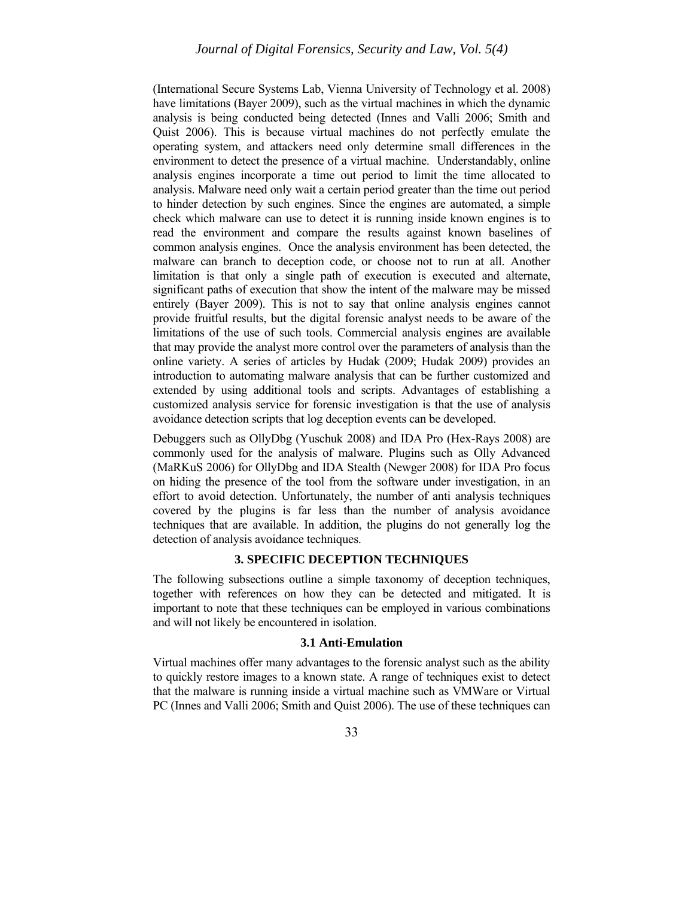# *Journal of Digital Forensics, Security and Law, Vol. 5(4)*

(International Secure Systems Lab, Vienna University of Technology et al. 2008) have limitations (Bayer 2009), such as the virtual machines in which the dynamic analysis is being conducted being detected (Innes and Valli 2006; Smith and Quist 2006). This is because virtual machines do not perfectly emulate the operating system, and attackers need only determine small differences in the environment to detect the presence of a virtual machine. Understandably, online analysis engines incorporate a time out period to limit the time allocated to analysis. Malware need only wait a certain period greater than the time out period to hinder detection by such engines. Since the engines are automated, a simple check which malware can use to detect it is running inside known engines is to read the environment and compare the results against known baselines of common analysis engines. Once the analysis environment has been detected, the malware can branch to deception code, or choose not to run at all. Another limitation is that only a single path of execution is executed and alternate, significant paths of execution that show the intent of the malware may be missed entirely (Bayer 2009). This is not to say that online analysis engines cannot provide fruitful results, but the digital forensic analyst needs to be aware of the limitations of the use of such tools. Commercial analysis engines are available that may provide the analyst more control over the parameters of analysis than the online variety. A series of articles by Hudak (2009; Hudak 2009) provides an introduction to automating malware analysis that can be further customized and extended by using additional tools and scripts. Advantages of establishing a customized analysis service for forensic investigation is that the use of analysis avoidance detection scripts that log deception events can be developed.

Debuggers such as OllyDbg (Yuschuk 2008) and IDA Pro (Hex-Rays 2008) are commonly used for the analysis of malware. Plugins such as Olly Advanced (MaRKuS 2006) for OllyDbg and IDA Stealth (Newger 2008) for IDA Pro focus on hiding the presence of the tool from the software under investigation, in an effort to avoid detection. Unfortunately, the number of anti analysis techniques covered by the plugins is far less than the number of analysis avoidance techniques that are available. In addition, the plugins do not generally log the detection of analysis avoidance techniques.

## **3. SPECIFIC DECEPTION TECHNIQUES**

The following subsections outline a simple taxonomy of deception techniques, together with references on how they can be detected and mitigated. It is important to note that these techniques can be employed in various combinations and will not likely be encountered in isolation.

## **3.1 Anti-Emulation**

Virtual machines offer many advantages to the forensic analyst such as the ability to quickly restore images to a known state. A range of techniques exist to detect that the malware is running inside a virtual machine such as VMWare or Virtual PC (Innes and Valli 2006; Smith and Quist 2006). The use of these techniques can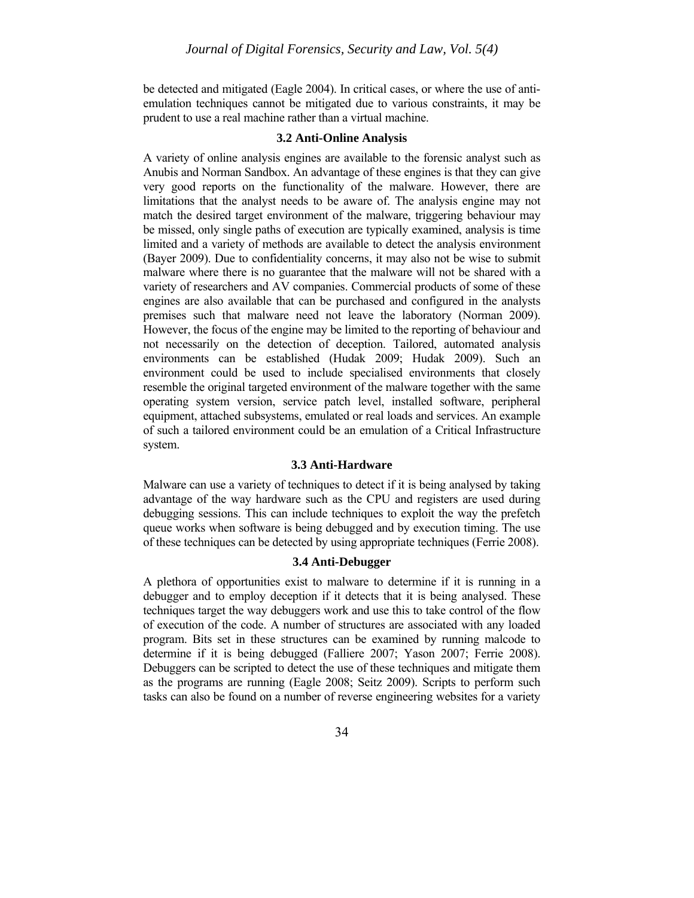be detected and mitigated (Eagle 2004). In critical cases, or where the use of antiemulation techniques cannot be mitigated due to various constraints, it may be prudent to use a real machine rather than a virtual machine.

## **3.2 Anti-Online Analysis**

A variety of online analysis engines are available to the forensic analyst such as Anubis and Norman Sandbox. An advantage of these engines is that they can give very good reports on the functionality of the malware. However, there are limitations that the analyst needs to be aware of. The analysis engine may not match the desired target environment of the malware, triggering behaviour may be missed, only single paths of execution are typically examined, analysis is time limited and a variety of methods are available to detect the analysis environment (Bayer 2009). Due to confidentiality concerns, it may also not be wise to submit malware where there is no guarantee that the malware will not be shared with a variety of researchers and AV companies. Commercial products of some of these engines are also available that can be purchased and configured in the analysts premises such that malware need not leave the laboratory (Norman 2009). However, the focus of the engine may be limited to the reporting of behaviour and not necessarily on the detection of deception. Tailored, automated analysis environments can be established (Hudak 2009; Hudak 2009). Such an environment could be used to include specialised environments that closely resemble the original targeted environment of the malware together with the same operating system version, service patch level, installed software, peripheral equipment, attached subsystems, emulated or real loads and services. An example of such a tailored environment could be an emulation of a Critical Infrastructure system.

#### **3.3 Anti-Hardware**

Malware can use a variety of techniques to detect if it is being analysed by taking advantage of the way hardware such as the CPU and registers are used during debugging sessions. This can include techniques to exploit the way the prefetch queue works when software is being debugged and by execution timing. The use of these techniques can be detected by using appropriate techniques (Ferrie 2008).

## **3.4 Anti-Debugger**

A plethora of opportunities exist to malware to determine if it is running in a debugger and to employ deception if it detects that it is being analysed. These techniques target the way debuggers work and use this to take control of the flow of execution of the code. A number of structures are associated with any loaded program. Bits set in these structures can be examined by running malcode to determine if it is being debugged (Falliere 2007; Yason 2007; Ferrie 2008). Debuggers can be scripted to detect the use of these techniques and mitigate them as the programs are running (Eagle 2008; Seitz 2009). Scripts to perform such tasks can also be found on a number of reverse engineering websites for a variety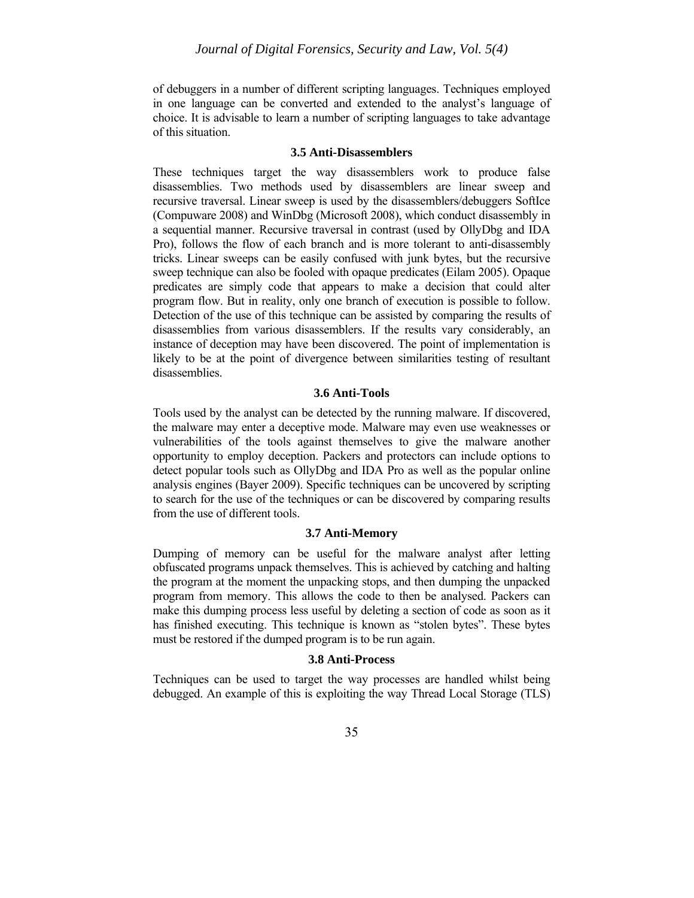of debuggers in a number of different scripting languages. Techniques employed in one language can be converted and extended to the analyst's language of choice. It is advisable to learn a number of scripting languages to take advantage of this situation.

#### **3.5 Anti-Disassemblers**

These techniques target the way disassemblers work to produce false disassemblies. Two methods used by disassemblers are linear sweep and recursive traversal. Linear sweep is used by the disassemblers/debuggers SoftIce (Compuware 2008) and WinDbg (Microsoft 2008), which conduct disassembly in a sequential manner. Recursive traversal in contrast (used by OllyDbg and IDA Pro), follows the flow of each branch and is more tolerant to anti-disassembly tricks. Linear sweeps can be easily confused with junk bytes, but the recursive sweep technique can also be fooled with opaque predicates (Eilam 2005). Opaque predicates are simply code that appears to make a decision that could alter program flow. But in reality, only one branch of execution is possible to follow. Detection of the use of this technique can be assisted by comparing the results of disassemblies from various disassemblers. If the results vary considerably, an instance of deception may have been discovered. The point of implementation is likely to be at the point of divergence between similarities testing of resultant disassemblies.

## **3.6 Anti-Tools**

Tools used by the analyst can be detected by the running malware. If discovered, the malware may enter a deceptive mode. Malware may even use weaknesses or vulnerabilities of the tools against themselves to give the malware another opportunity to employ deception. Packers and protectors can include options to detect popular tools such as OllyDbg and IDA Pro as well as the popular online analysis engines (Bayer 2009). Specific techniques can be uncovered by scripting to search for the use of the techniques or can be discovered by comparing results from the use of different tools.

#### **3.7 Anti-Memory**

Dumping of memory can be useful for the malware analyst after letting obfuscated programs unpack themselves. This is achieved by catching and halting the program at the moment the unpacking stops, and then dumping the unpacked program from memory. This allows the code to then be analysed. Packers can make this dumping process less useful by deleting a section of code as soon as it has finished executing. This technique is known as "stolen bytes". These bytes must be restored if the dumped program is to be run again.

## **3.8 Anti-Process**

Techniques can be used to target the way processes are handled whilst being debugged. An example of this is exploiting the way Thread Local Storage (TLS)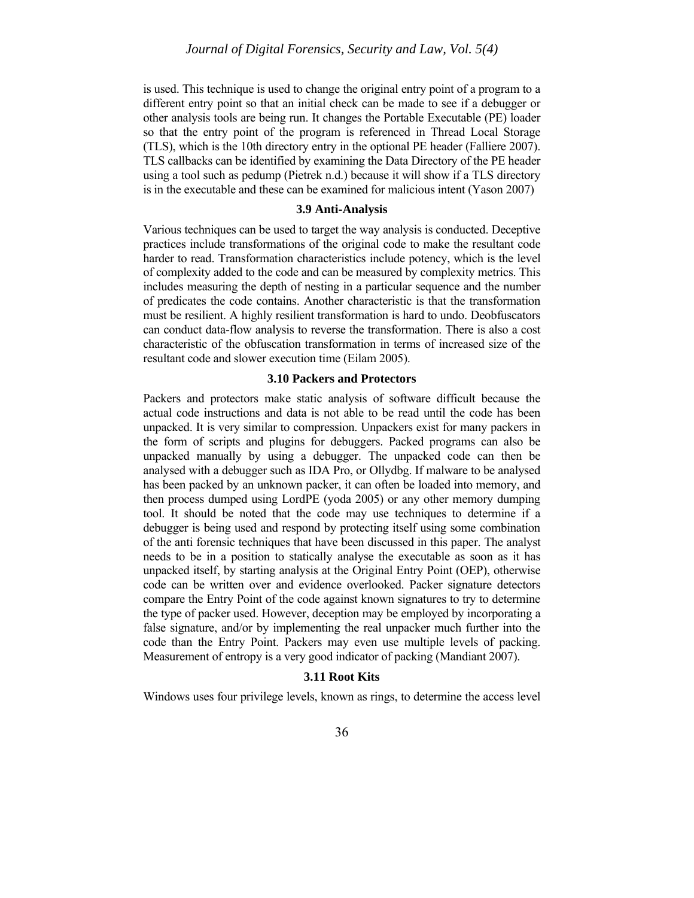is used. This technique is used to change the original entry point of a program to a different entry point so that an initial check can be made to see if a debugger or other analysis tools are being run. It changes the Portable Executable (PE) loader so that the entry point of the program is referenced in Thread Local Storage (TLS), which is the 10th directory entry in the optional PE header (Falliere 2007). TLS callbacks can be identified by examining the Data Directory of the PE header using a tool such as pedump (Pietrek n.d.) because it will show if a TLS directory is in the executable and these can be examined for malicious intent (Yason 2007)

#### **3.9 Anti-Analysis**

Various techniques can be used to target the way analysis is conducted. Deceptive practices include transformations of the original code to make the resultant code harder to read. Transformation characteristics include potency, which is the level of complexity added to the code and can be measured by complexity metrics. This includes measuring the depth of nesting in a particular sequence and the number of predicates the code contains. Another characteristic is that the transformation must be resilient. A highly resilient transformation is hard to undo. Deobfuscators can conduct data-flow analysis to reverse the transformation. There is also a cost characteristic of the obfuscation transformation in terms of increased size of the resultant code and slower execution time (Eilam 2005).

### **3.10 Packers and Protectors**

Packers and protectors make static analysis of software difficult because the actual code instructions and data is not able to be read until the code has been unpacked. It is very similar to compression. Unpackers exist for many packers in the form of scripts and plugins for debuggers. Packed programs can also be unpacked manually by using a debugger. The unpacked code can then be analysed with a debugger such as IDA Pro, or Ollydbg. If malware to be analysed has been packed by an unknown packer, it can often be loaded into memory, and then process dumped using LordPE (yoda 2005) or any other memory dumping tool. It should be noted that the code may use techniques to determine if a debugger is being used and respond by protecting itself using some combination of the anti forensic techniques that have been discussed in this paper. The analyst needs to be in a position to statically analyse the executable as soon as it has unpacked itself, by starting analysis at the Original Entry Point (OEP), otherwise code can be written over and evidence overlooked. Packer signature detectors compare the Entry Point of the code against known signatures to try to determine the type of packer used. However, deception may be employed by incorporating a false signature, and/or by implementing the real unpacker much further into the code than the Entry Point. Packers may even use multiple levels of packing. Measurement of entropy is a very good indicator of packing (Mandiant 2007).

## **3.11 Root Kits**

Windows uses four privilege levels, known as rings, to determine the access level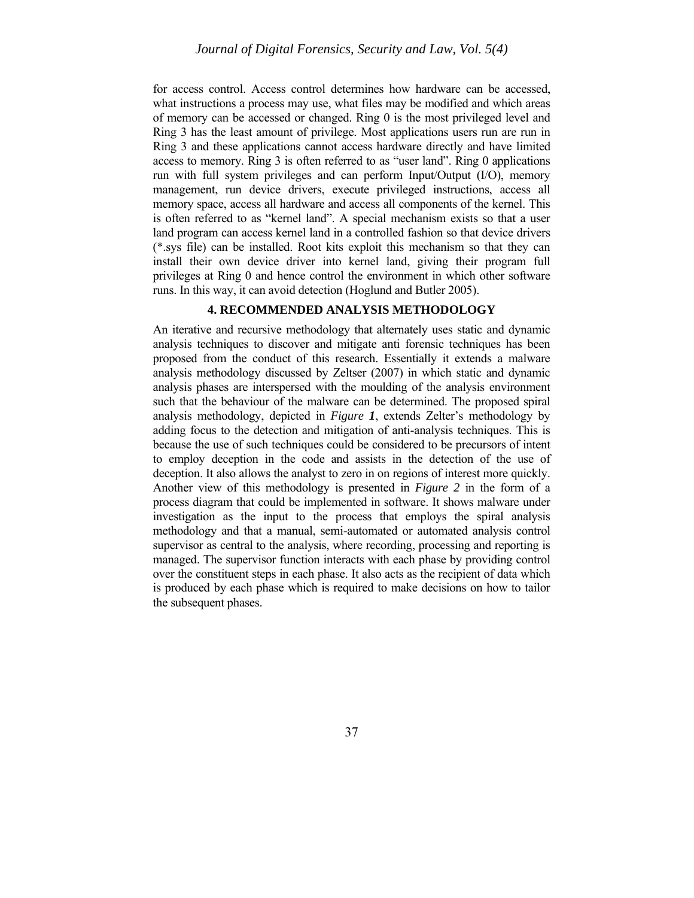for access control. Access control determines how hardware can be accessed, what instructions a process may use, what files may be modified and which areas of memory can be accessed or changed. Ring 0 is the most privileged level and Ring 3 has the least amount of privilege. Most applications users run are run in Ring 3 and these applications cannot access hardware directly and have limited access to memory. Ring 3 is often referred to as "user land". Ring 0 applications run with full system privileges and can perform Input/Output (I/O), memory management, run device drivers, execute privileged instructions, access all memory space, access all hardware and access all components of the kernel. This is often referred to as "kernel land". A special mechanism exists so that a user land program can access kernel land in a controlled fashion so that device drivers (\*.sys file) can be installed. Root kits exploit this mechanism so that they can install their own device driver into kernel land, giving their program full privileges at Ring 0 and hence control the environment in which other software runs. In this way, it can avoid detection (Hoglund and Butler 2005).

# **4. RECOMMENDED ANALYSIS METHODOLOGY**

An iterative and recursive methodology that alternately uses static and dynamic analysis techniques to discover and mitigate anti forensic techniques has been proposed from the conduct of this research. Essentially it extends a malware analysis methodology discussed by Zeltser (2007) in which static and dynamic analysis phases are interspersed with the moulding of the analysis environment such that the behaviour of the malware can be determined. The proposed spiral analysis methodology, depicted in *Figure 1*, extends Zelter's methodology by adding focus to the detection and mitigation of anti-analysis techniques. This is because the use of such techniques could be considered to be precursors of intent to employ deception in the code and assists in the detection of the use of deception. It also allows the analyst to zero in on regions of interest more quickly. Another view of this methodology is presented in *Figure 2* in the form of a process diagram that could be implemented in software. It shows malware under investigation as the input to the process that employs the spiral analysis methodology and that a manual, semi-automated or automated analysis control supervisor as central to the analysis, where recording, processing and reporting is managed. The supervisor function interacts with each phase by providing control over the constituent steps in each phase. It also acts as the recipient of data which is produced by each phase which is required to make decisions on how to tailor the subsequent phases.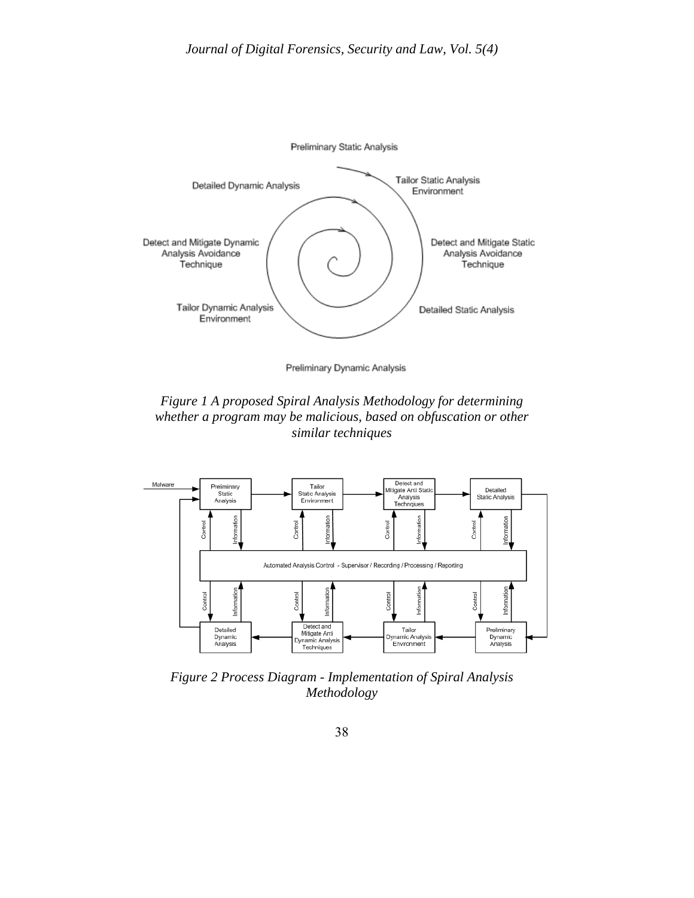

Preliminary Dynamic Analysis

*Figure 1 A proposed Spiral Analysis Methodology for determining whether a program may be malicious, based on obfuscation or other similar techniques* 



*Figure 2 Process Diagram - Implementation of Spiral Analysis Methodology*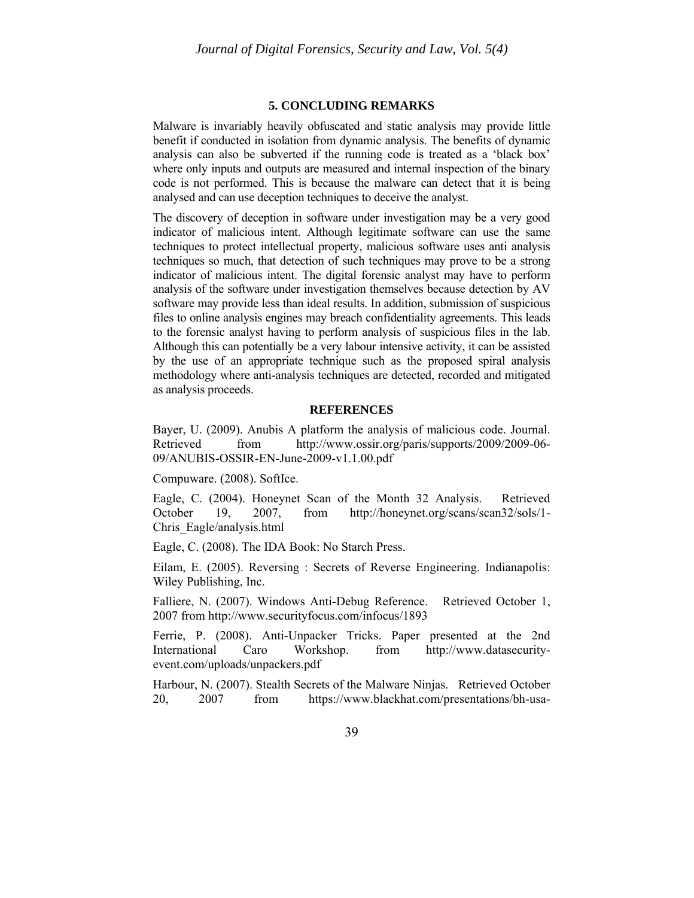## **5. CONCLUDING REMARKS**

Malware is invariably heavily obfuscated and static analysis may provide little benefit if conducted in isolation from dynamic analysis. The benefits of dynamic analysis can also be subverted if the running code is treated as a 'black box' where only inputs and outputs are measured and internal inspection of the binary code is not performed. This is because the malware can detect that it is being analysed and can use deception techniques to deceive the analyst.

The discovery of deception in software under investigation may be a very good indicator of malicious intent. Although legitimate software can use the same techniques to protect intellectual property, malicious software uses anti analysis techniques so much, that detection of such techniques may prove to be a strong indicator of malicious intent. The digital forensic analyst may have to perform analysis of the software under investigation themselves because detection by AV software may provide less than ideal results. In addition, submission of suspicious files to online analysis engines may breach confidentiality agreements. This leads to the forensic analyst having to perform analysis of suspicious files in the lab. Although this can potentially be a very labour intensive activity, it can be assisted by the use of an appropriate technique such as the proposed spiral analysis methodology where anti-analysis techniques are detected, recorded and mitigated as analysis proceeds.

#### **REFERENCES**

Bayer, U. (2009). Anubis A platform the analysis of malicious code. Journal. Retrieved from http://www.ossir.org/paris/supports/2009/2009-06-09/ANUBIS-OSSIR-EN-June-2009-v1.1.00.pdf

Compuware. (2008). SoftIce.

Eagle, C. (2004). Honeynet Scan of the Month 32 Analysis. Retrieved October 19, 2007, from http://honeynet.org/scans/scan32/sols/1- Chris\_Eagle/analysis.html

Eagle, C. (2008). The IDA Book: No Starch Press.

Eilam, E. (2005). Reversing : Secrets of Reverse Engineering. Indianapolis: Wiley Publishing, Inc.

Falliere, N. (2007). Windows Anti-Debug Reference. Retrieved October 1, 2007 from http://www.securityfocus.com/infocus/1893

Ferrie, P. (2008). Anti-Unpacker Tricks. Paper presented at the 2nd International Caro Workshop. from http://www.datasecurityevent.com/uploads/unpackers.pdf

Harbour, N. (2007). Stealth Secrets of the Malware Ninjas. Retrieved October 20, 2007 from https://www.blackhat.com/presentations/bh-usa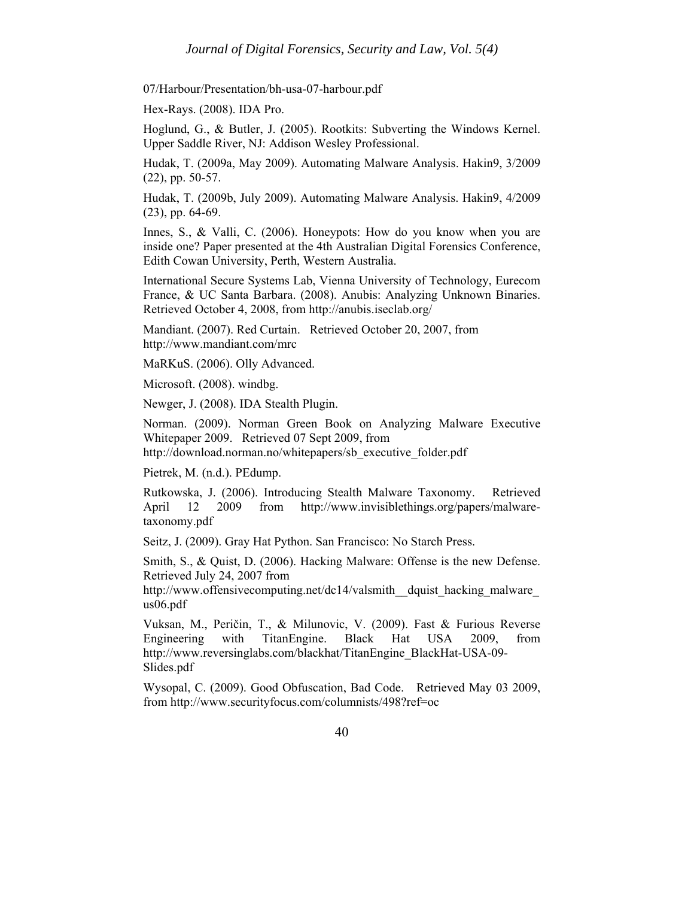07/Harbour/Presentation/bh-usa-07-harbour.pdf

Hex-Rays. (2008). IDA Pro.

Hoglund, G., & Butler, J. (2005). Rootkits: Subverting the Windows Kernel. Upper Saddle River, NJ: Addison Wesley Professional.

Hudak, T. (2009a, May 2009). Automating Malware Analysis. Hakin9, 3/2009 (22), pp. 50-57.

Hudak, T. (2009b, July 2009). Automating Malware Analysis. Hakin9, 4/2009 (23), pp. 64-69.

Innes, S., & Valli, C. (2006). Honeypots: How do you know when you are inside one? Paper presented at the 4th Australian Digital Forensics Conference, Edith Cowan University, Perth, Western Australia.

International Secure Systems Lab, Vienna University of Technology, Eurecom France, & UC Santa Barbara. (2008). Anubis: Analyzing Unknown Binaries. Retrieved October 4, 2008, from http://anubis.iseclab.org/

Mandiant. (2007). Red Curtain. Retrieved October 20, 2007, from http://www.mandiant.com/mrc

MaRKuS. (2006). Olly Advanced.

Microsoft. (2008). windbg.

Newger, J. (2008). IDA Stealth Plugin.

Norman. (2009). Norman Green Book on Analyzing Malware Executive Whitepaper 2009. Retrieved 07 Sept 2009, from http://download.norman.no/whitepapers/sb\_executive\_folder.pdf

Pietrek, M. (n.d.). PEdump.

Rutkowska, J. (2006). Introducing Stealth Malware Taxonomy. Retrieved April 12 2009 from http://www.invisiblethings.org/papers/malwaretaxonomy.pdf

Seitz, J. (2009). Gray Hat Python. San Francisco: No Starch Press.

Smith, S., & Quist, D. (2006). Hacking Malware: Offense is the new Defense. Retrieved July 24, 2007 from

http://www.offensivecomputing.net/dc14/valsmith\_dquist\_hacking\_malware us06.pdf

Vuksan, M., Peričin, T., & Milunovic, V. (2009). Fast & Furious Reverse Engineering with TitanEngine. Black Hat USA 2009, from http://www.reversinglabs.com/blackhat/TitanEngine\_BlackHat-USA-09- Slides.pdf

Wysopal, C. (2009). Good Obfuscation, Bad Code. Retrieved May 03 2009, from http://www.securityfocus.com/columnists/498?ref=oc